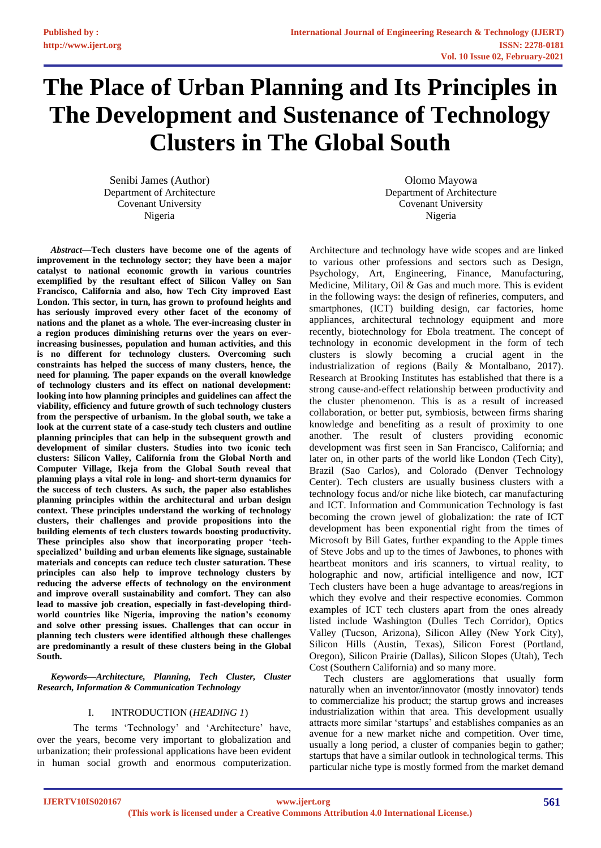# **The Place of Urban Planning and Its Principles in The Development and Sustenance of Technology Clusters in The Global South**

Senibi James (Author) Department of Architecture Covenant University Nigeria

*Abstract***—Tech clusters have become one of the agents of improvement in the technology sector; they have been a major catalyst to national economic growth in various countries exemplified by the resultant effect of Silicon Valley on San Francisco, California and also, how Tech City improved East London. This sector, in turn, has grown to profound heights and has seriously improved every other facet of the economy of nations and the planet as a whole. The ever-increasing cluster in a region produces diminishing returns over the years on everincreasing businesses, population and human activities, and this is no different for technology clusters. Overcoming such constraints has helped the success of many clusters, hence, the need for planning. The paper expands on the overall knowledge of technology clusters and its effect on national development: looking into how planning principles and guidelines can affect the viability, efficiency and future growth of such technology clusters from the perspective of urbanism. In the global south, we take a look at the current state of a case-study tech clusters and outline planning principles that can help in the subsequent growth and development of similar clusters. Studies into two iconic tech clusters: Silicon Valley, California from the Global North and Computer Village, Ikeja from the Global South reveal that planning plays a vital role in long- and short-term dynamics for the success of tech clusters. As such, the paper also establishes planning principles within the architectural and urban design context. These principles understand the working of technology clusters, their challenges and provide propositions into the building elements of tech clusters towards boosting productivity. These principles also show that incorporating proper 'techspecialized' building and urban elements like signage, sustainable materials and concepts can reduce tech cluster saturation. These principles can also help to improve technology clusters by reducing the adverse effects of technology on the environment and improve overall sustainability and comfort. They can also lead to massive job creation, especially in fast-developing thirdworld countries like Nigeria, improving the nation's economy and solve other pressing issues. Challenges that can occur in planning tech clusters were identified although these challenges are predominantly a result of these clusters being in the Global South.**

*Keywords—Architecture, Planning, Tech Cluster, Cluster Research, Information & Communication Technology*

# I. INTRODUCTION (*HEADING 1*)

The terms 'Technology' and 'Architecture' have, over the years, become very important to globalization and urbanization; their professional applications have been evident in human social growth and enormous computerization.

Olomo Mayowa Department of Architecture Covenant University Nigeria

Architecture and technology have wide scopes and are linked to various other professions and sectors such as Design, Psychology, Art, Engineering, Finance, Manufacturing, Medicine, Military, Oil & Gas and much more. This is evident in the following ways: the design of refineries, computers, and smartphones, (ICT) building design, car factories, home appliances, architectural technology equipment and more recently, biotechnology for Ebola treatment. The concept of technology in economic development in the form of tech clusters is slowly becoming a crucial agent in the industrialization of regions (Baily & Montalbano, 2017). Research at Brooking Institutes has established that there is a strong cause-and-effect relationship between productivity and the cluster phenomenon. This is as a result of increased collaboration, or better put, symbiosis, between firms sharing knowledge and benefiting as a result of proximity to one another. The result of clusters providing economic development was first seen in San Francisco, California; and later on, in other parts of the world like London (Tech City), Brazil (Sao Carlos), and Colorado (Denver Technology Center). Tech clusters are usually business clusters with a technology focus and/or niche like biotech, car manufacturing and ICT. Information and Communication Technology is fast becoming the crown jewel of globalization: the rate of ICT development has been exponential right from the times of Microsoft by Bill Gates, further expanding to the Apple times of Steve Jobs and up to the times of Jawbones, to phones with heartbeat monitors and iris scanners, to virtual reality, to holographic and now, artificial intelligence and now, ICT Tech clusters have been a huge advantage to areas/regions in which they evolve and their respective economies. Common examples of ICT tech clusters apart from the ones already listed include Washington (Dulles Tech Corridor), Optics Valley (Tucson, Arizona), Silicon Alley (New York City), Silicon Hills (Austin, Texas), Silicon Forest (Portland, Oregon), Silicon Prairie (Dallas), Silicon Slopes (Utah), Tech Cost (Southern California) and so many more.

Tech clusters are agglomerations that usually form naturally when an inventor/innovator (mostly innovator) tends to commercialize his product; the startup grows and increases industrialization within that area. This development usually attracts more similar 'startups' and establishes companies as an avenue for a new market niche and competition. Over time, usually a long period, a cluster of companies begin to gather; startups that have a similar outlook in technological terms. This particular niche type is mostly formed from the market demand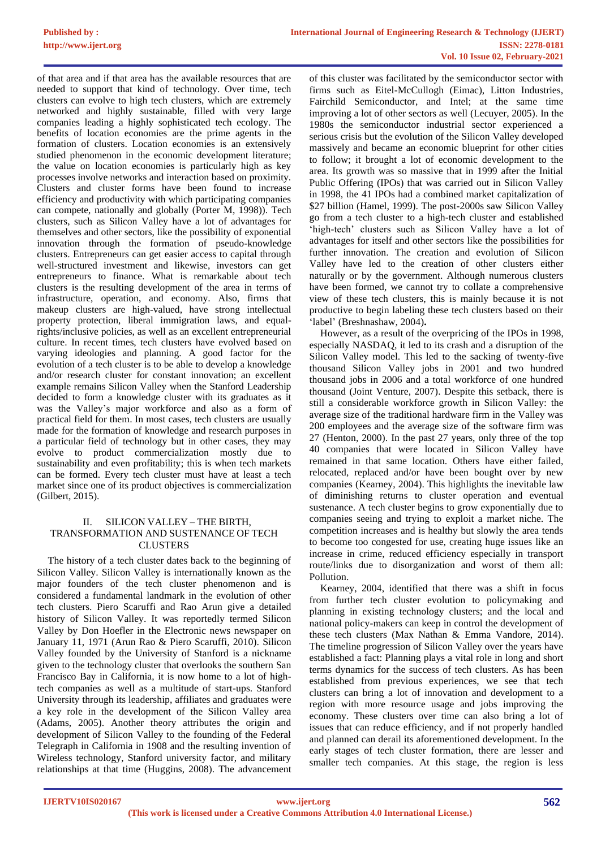of that area and if that area has the available resources that are needed to support that kind of technology. Over time, tech clusters can evolve to high tech clusters, which are extremely networked and highly sustainable, filled with very large companies leading a highly sophisticated tech ecology. The benefits of location economies are the prime agents in the formation of clusters. Location economies is an extensively studied phenomenon in the economic development literature; the value on location economies is particularly high as key processes involve networks and interaction based on proximity. Clusters and cluster forms have been found to increase efficiency and productivity with which participating companies can compete, nationally and globally (Porter M, 1998)). Tech clusters, such as Silicon Valley have a lot of advantages for themselves and other sectors, like the possibility of exponential innovation through the formation of pseudo-knowledge clusters. Entrepreneurs can get easier access to capital through well-structured investment and likewise, investors can get entrepreneurs to finance. What is remarkable about tech clusters is the resulting development of the area in terms of infrastructure, operation, and economy. Also, firms that makeup clusters are high-valued, have strong intellectual property protection, liberal immigration laws, and equalrights/inclusive policies, as well as an excellent entrepreneurial culture. In recent times, tech clusters have evolved based on varying ideologies and planning. A good factor for the evolution of a tech cluster is to be able to develop a knowledge and/or research cluster for constant innovation; an excellent example remains Silicon Valley when the Stanford Leadership decided to form a knowledge cluster with its graduates as it was the Valley's major workforce and also as a form of practical field for them. In most cases, tech clusters are usually made for the formation of knowledge and research purposes in a particular field of technology but in other cases, they may evolve to product commercialization mostly due to sustainability and even profitability; this is when tech markets can be formed. Every tech cluster must have at least a tech market since one of its product objectives is commercialization (Gilbert, 2015).

## II. SILICON VALLEY – THE BIRTH, TRANSFORMATION AND SUSTENANCE OF TECH CLUSTERS

The history of a tech cluster dates back to the beginning of Silicon Valley. Silicon Valley is internationally known as the major founders of the tech cluster phenomenon and is considered a fundamental landmark in the evolution of other tech clusters. Piero Scaruffi and Rao Arun give a detailed history of Silicon Valley. It was reportedly termed Silicon Valley by Don Hoefler in the Electronic news newspaper on January 11, 1971 (Arun Rao & Piero Scaruffi, 2010). Silicon Valley founded by the University of Stanford is a nickname given to the technology cluster that overlooks the southern San Francisco Bay in California, it is now home to a lot of hightech companies as well as a multitude of start-ups. Stanford University through its leadership, affiliates and graduates were a key role in the development of the Silicon Valley area (Adams, 2005). Another theory attributes the origin and development of Silicon Valley to the founding of the Federal Telegraph in California in 1908 and the resulting invention of Wireless technology, Stanford university factor, and military relationships at that time (Huggins, 2008). The advancement

of this cluster was facilitated by the semiconductor sector with firms such as Eitel-McCullogh (Eimac), Litton Industries, Fairchild Semiconductor, and Intel; at the same time improving a lot of other sectors as well (Lecuyer, 2005). In the 1980s the semiconductor industrial sector experienced a serious crisis but the evolution of the Silicon Valley developed massively and became an economic blueprint for other cities to follow; it brought a lot of economic development to the area. Its growth was so massive that in 1999 after the Initial Public Offering (IPOs) that was carried out in Silicon Valley in 1998, the 41 IPOs had a combined market capitalization of \$27 billion (Hamel, 1999). The post-2000s saw Silicon Valley go from a tech cluster to a high-tech cluster and established 'high-tech' clusters such as Silicon Valley have a lot of advantages for itself and other sectors like the possibilities for further innovation. The creation and evolution of Silicon Valley have led to the creation of other clusters either naturally or by the government. Although numerous clusters have been formed, we cannot try to collate a comprehensive view of these tech clusters, this is mainly because it is not productive to begin labeling these tech clusters based on their 'label' (Breshnashaw, 2004)**.**

However, as a result of the overpricing of the IPOs in 1998, especially NASDAQ, it led to its crash and a disruption of the Silicon Valley model. This led to the sacking of twenty-five thousand Silicon Valley jobs in 2001 and two hundred thousand jobs in 2006 and a total workforce of one hundred thousand (Joint Venture, 2007). Despite this setback, there is still a considerable workforce growth in Silicon Valley: the average size of the traditional hardware firm in the Valley was 200 employees and the average size of the software firm was 27 (Henton, 2000). In the past 27 years, only three of the top 40 companies that were located in Silicon Valley have remained in that same location. Others have either failed, relocated, replaced and/or have been bought over by new companies (Kearney, 2004). This highlights the inevitable law of diminishing returns to cluster operation and eventual sustenance. A tech cluster begins to grow exponentially due to companies seeing and trying to exploit a market niche. The competition increases and is healthy but slowly the area tends to become too congested for use, creating huge issues like an increase in crime, reduced efficiency especially in transport route/links due to disorganization and worst of them all: Pollution.

Kearney, 2004, identified that there was a shift in focus from further tech cluster evolution to policymaking and planning in existing technology clusters; and the local and national policy-makers can keep in control the development of these tech clusters (Max Nathan & Emma Vandore, 2014). The timeline progression of Silicon Valley over the years have established a fact: Planning plays a vital role in long and short terms dynamics for the success of tech clusters. As has been established from previous experiences, we see that tech clusters can bring a lot of innovation and development to a region with more resource usage and jobs improving the economy. These clusters over time can also bring a lot of issues that can reduce efficiency, and if not properly handled and planned can derail its aforementioned development. In the early stages of tech cluster formation, there are lesser and smaller tech companies. At this stage, the region is less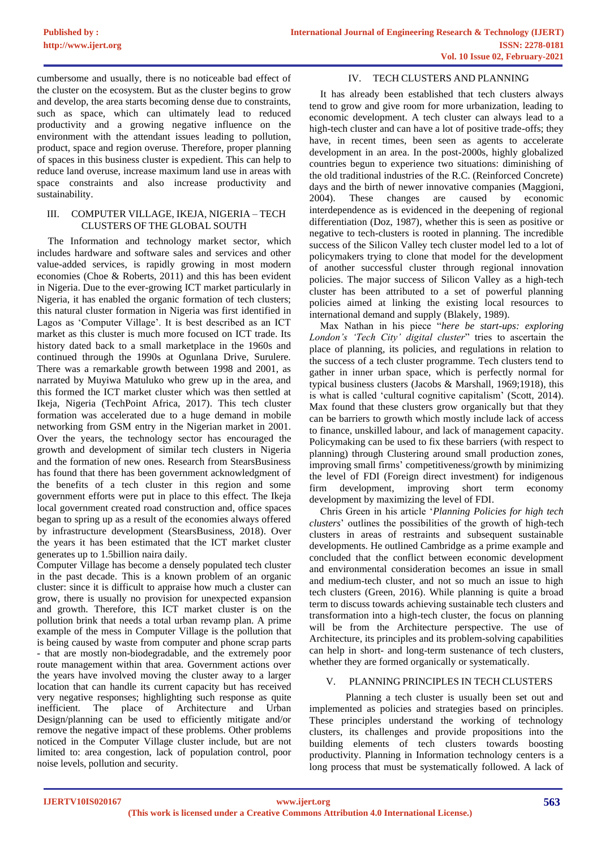cumbersome and usually, there is no noticeable bad effect of the cluster on the ecosystem. But as the cluster begins to grow and develop, the area starts becoming dense due to constraints, such as space, which can ultimately lead to reduced productivity and a growing negative influence on the environment with the attendant issues leading to pollution, product, space and region overuse. Therefore, proper planning of spaces in this business cluster is expedient. This can help to reduce land overuse, increase maximum land use in areas with space constraints and also increase productivity and sustainability.

### III. COMPUTER VILLAGE, IKEJA, NIGERIA – TECH CLUSTERS OF THE GLOBAL SOUTH

The Information and technology market sector, which includes hardware and software sales and services and other value-added services, is rapidly growing in most modern economies (Choe & Roberts, 2011) and this has been evident in Nigeria. Due to the ever-growing ICT market particularly in Nigeria, it has enabled the organic formation of tech clusters; this natural cluster formation in Nigeria was first identified in Lagos as 'Computer Village'. It is best described as an ICT market as this cluster is much more focused on ICT trade. Its history dated back to a small marketplace in the 1960s and continued through the 1990s at Ogunlana Drive, Surulere. There was a remarkable growth between 1998 and 2001, as narrated by Muyiwa Matuluko who grew up in the area, and this formed the ICT market cluster which was then settled at Ikeja, Nigeria (TechPoint Africa, 2017). This tech cluster formation was accelerated due to a huge demand in mobile networking from GSM entry in the Nigerian market in 2001. Over the years, the technology sector has encouraged the growth and development of similar tech clusters in Nigeria and the formation of new ones. Research from StearsBusiness has found that there has been government acknowledgment of the benefits of a tech cluster in this region and some government efforts were put in place to this effect. The Ikeja local government created road construction and, office spaces began to spring up as a result of the economies always offered by infrastructure development (StearsBusiness, 2018). Over the years it has been estimated that the ICT market cluster generates up to 1.5billion naira daily.

Computer Village has become a densely populated tech cluster in the past decade. This is a known problem of an organic cluster: since it is difficult to appraise how much a cluster can grow, there is usually no provision for unexpected expansion and growth. Therefore, this ICT market cluster is on the pollution brink that needs a total urban revamp plan. A prime example of the mess in Computer Village is the pollution that is being caused by waste from computer and phone scrap parts - that are mostly non-biodegradable, and the extremely poor route management within that area. Government actions over the years have involved moving the cluster away to a larger location that can handle its current capacity but has received very negative responses; highlighting such response as quite inefficient. The place of Architecture and Urban Design/planning can be used to efficiently mitigate and/or remove the negative impact of these problems. Other problems noticed in the Computer Village cluster include, but are not limited to: area congestion, lack of population control, poor noise levels, pollution and security.

# IV. TECH CLUSTERS AND PLANNING

It has already been established that tech clusters always tend to grow and give room for more urbanization, leading to economic development. A tech cluster can always lead to a high-tech cluster and can have a lot of positive trade-offs; they have, in recent times, been seen as agents to accelerate development in an area. In the post-2000s, highly globalized countries begun to experience two situations: diminishing of the old traditional industries of the R.C. (Reinforced Concrete) days and the birth of newer innovative companies (Maggioni, 2004). These changes are caused by economic interdependence as is evidenced in the deepening of regional differentiation (Doz, 1987), whether this is seen as positive or negative to tech-clusters is rooted in planning. The incredible success of the Silicon Valley tech cluster model led to a lot of policymakers trying to clone that model for the development of another successful cluster through regional innovation policies. The major success of Silicon Valley as a high-tech cluster has been attributed to a set of powerful planning policies aimed at linking the existing local resources to international demand and supply (Blakely, 1989).

Max Nathan in his piece "*here be start-ups: exploring London's 'Tech City' digital cluster*" tries to ascertain the place of planning, its policies, and regulations in relation to the success of a tech cluster programme. Tech clusters tend to gather in inner urban space, which is perfectly normal for typical business clusters (Jacobs & Marshall, 1969;1918), this is what is called 'cultural cognitive capitalism' (Scott, 2014). Max found that these clusters grow organically but that they can be barriers to growth which mostly include lack of access to finance, unskilled labour, and lack of management capacity. Policymaking can be used to fix these barriers (with respect to planning) through Clustering around small production zones, improving small firms' competitiveness/growth by minimizing the level of FDI (Foreign direct investment) for indigenous firm development, improving short term economy development by maximizing the level of FDI.

Chris Green in his article '*Planning Policies for high tech clusters*' outlines the possibilities of the growth of high-tech clusters in areas of restraints and subsequent sustainable developments. He outlined Cambridge as a prime example and concluded that the conflict between economic development and environmental consideration becomes an issue in small and medium-tech cluster, and not so much an issue to high tech clusters (Green, 2016). While planning is quite a broad term to discuss towards achieving sustainable tech clusters and transformation into a high-tech cluster, the focus on planning will be from the Architecture perspective. The use of Architecture, its principles and its problem-solving capabilities can help in short- and long-term sustenance of tech clusters, whether they are formed organically or systematically.

# V. PLANNING PRINCIPLES IN TECH CLUSTERS

Planning a tech cluster is usually been set out and implemented as policies and strategies based on principles. These principles understand the working of technology clusters, its challenges and provide propositions into the building elements of tech clusters towards boosting productivity. Planning in Information technology centers is a long process that must be systematically followed. A lack of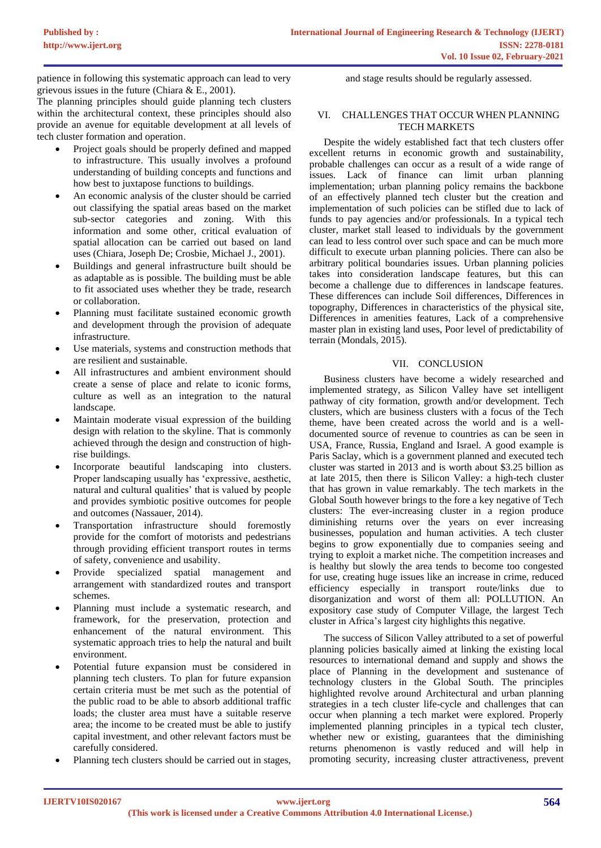patience in following this systematic approach can lead to very grievous issues in the future (Chiara & E., 2001).

The planning principles should guide planning tech clusters within the architectural context, these principles should also provide an avenue for equitable development at all levels of tech cluster formation and operation.

- Project goals should be properly defined and mapped to infrastructure. This usually involves a profound understanding of building concepts and functions and how best to juxtapose functions to buildings.
- An economic analysis of the cluster should be carried out classifying the spatial areas based on the market sub-sector categories and zoning. With this information and some other, critical evaluation of spatial allocation can be carried out based on land uses (Chiara, Joseph De; Crosbie, Michael J., 2001).
- Buildings and general infrastructure built should be as adaptable as is possible. The building must be able to fit associated uses whether they be trade, research or collaboration.
- Planning must facilitate sustained economic growth and development through the provision of adequate infrastructure.
- Use materials, systems and construction methods that are resilient and sustainable.
- All infrastructures and ambient environment should create a sense of place and relate to iconic forms, culture as well as an integration to the natural landscape.
- Maintain moderate visual expression of the building design with relation to the skyline. That is commonly achieved through the design and construction of highrise buildings.
- Incorporate beautiful landscaping into clusters. Proper landscaping usually has 'expressive, aesthetic, natural and cultural qualities' that is valued by people and provides symbiotic positive outcomes for people and outcomes (Nassauer, 2014).
- Transportation infrastructure should foremostly provide for the comfort of motorists and pedestrians through providing efficient transport routes in terms of safety, convenience and usability.
- Provide specialized spatial management and arrangement with standardized routes and transport schemes.
- Planning must include a systematic research, and framework, for the preservation, protection and enhancement of the natural environment. This systematic approach tries to help the natural and built environment.
- Potential future expansion must be considered in planning tech clusters. To plan for future expansion certain criteria must be met such as the potential of the public road to be able to absorb additional traffic loads; the cluster area must have a suitable reserve area; the income to be created must be able to justify capital investment, and other relevant factors must be carefully considered.
- Planning tech clusters should be carried out in stages,

and stage results should be regularly assessed.

# VI. CHALLENGES THAT OCCUR WHEN PLANNING TECH MARKETS

Despite the widely established fact that tech clusters offer excellent returns in economic growth and sustainability, probable challenges can occur as a result of a wide range of issues. Lack of finance can limit urban planning implementation; urban planning policy remains the backbone of an effectively planned tech cluster but the creation and implementation of such policies can be stifled due to lack of funds to pay agencies and/or professionals. In a typical tech cluster, market stall leased to individuals by the government can lead to less control over such space and can be much more difficult to execute urban planning policies. There can also be arbitrary political boundaries issues. Urban planning policies takes into consideration landscape features, but this can become a challenge due to differences in landscape features. These differences can include Soil differences, Differences in topography, Differences in characteristics of the physical site, Differences in amenities features, Lack of a comprehensive master plan in existing land uses, Poor level of predictability of terrain (Mondals, 2015).

# VII. CONCLUSION

Business clusters have become a widely researched and implemented strategy, as Silicon Valley have set intelligent pathway of city formation, growth and/or development. Tech clusters, which are business clusters with a focus of the Tech theme, have been created across the world and is a welldocumented source of revenue to countries as can be seen in USA, France, Russia, England and Israel. A good example is Paris Saclay, which is a government planned and executed tech cluster was started in 2013 and is worth about \$3.25 billion as at late 2015, then there is Silicon Valley: a high-tech cluster that has grown in value remarkably. The tech markets in the Global South however brings to the fore a key negative of Tech clusters: The ever-increasing cluster in a region produce diminishing returns over the years on ever increasing businesses, population and human activities. A tech cluster begins to grow exponentially due to companies seeing and trying to exploit a market niche. The competition increases and is healthy but slowly the area tends to become too congested for use, creating huge issues like an increase in crime, reduced efficiency especially in transport route/links due to disorganization and worst of them all: POLLUTION. An expository case study of Computer Village, the largest Tech cluster in Africa's largest city highlights this negative.

The success of Silicon Valley attributed to a set of powerful planning policies basically aimed at linking the existing local resources to international demand and supply and shows the place of Planning in the development and sustenance of technology clusters in the Global South. The principles highlighted revolve around Architectural and urban planning strategies in a tech cluster life-cycle and challenges that can occur when planning a tech market were explored. Properly implemented planning principles in a typical tech cluster, whether new or existing, guarantees that the diminishing returns phenomenon is vastly reduced and will help in promoting security, increasing cluster attractiveness, prevent